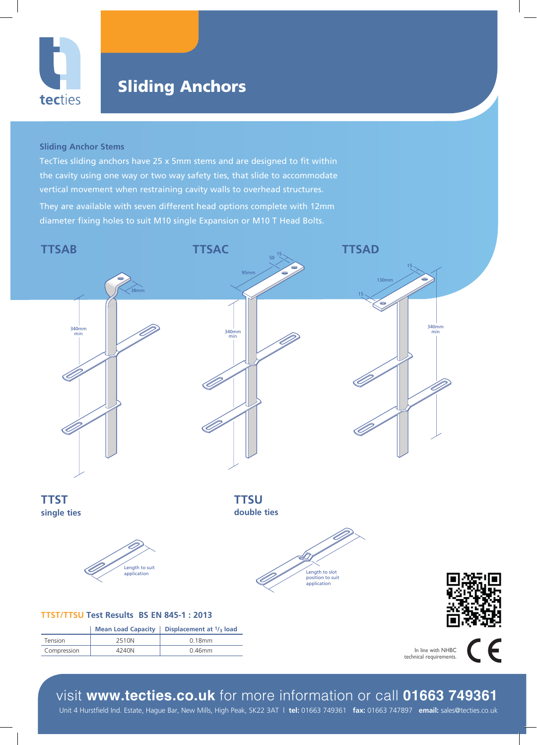

340mm min

35mm

## Sliding Anchors

## **Sliding Anchor Stems**

They are available with seven different head options complete with 12mm diameter fixing holes to suit M10 single Expansion or M10 T Head Bolts. TecTies sliding anchors have 25 x 5mm stems and are designed to fit within the cavity using one way or two way safety ties, that slide to accommodate vertical movement when restraining cavity walls to overhead structures.



appears in the control of the control of the control of the control of the control of the control of the control of the control of the control of the control of the control of the control of the control of the control of t

technical requirements.

 $\epsilon$ 



Unit 4 Hurstfield Ind. Estate, Hague Bar, New Mills, High Peak, SK22 3AT | **tel:** 01663 749361 **fax:** 01663 747897 **email:** sales@tecties.co.uk